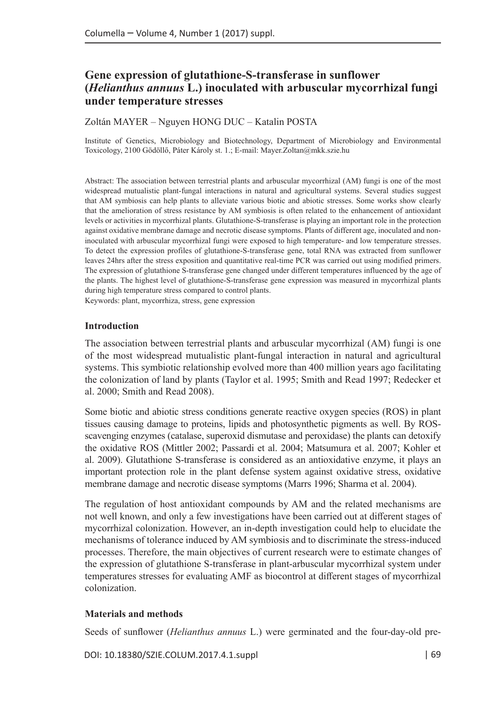# **Gene expression of glutathione-S-transferase in sunflower (***Helianthus annuus* **L.) inoculated with arbuscular mycorrhizal fungi under temperature stresses**

Zoltán MAYER – Nguyen HONG DUC – Katalin POSTA

Institute of Genetics, Microbiology and Biotechnology, Department of Microbiology and Environmental Toxicology, 2100 Gödöllő, Páter Károly st. 1.; E-mail: [Mayer.Zoltan@mkk.szie.hu](mailto:Mayer.Zoltan@mkk.szie.hu)

Abstract: The association between terrestrial plants and arbuscular mycorrhizal (AM) fungi is one of the most widespread mutualistic plant-fungal interactions in natural and agricultural systems. Several studies suggest that AM symbiosis can help plants to alleviate various biotic and abiotic stresses. Some works show clearly that the amelioration of stress resistance by AM symbiosis is often related to the enhancement of antioxidant levels or activities in mycorrhizal plants. Glutathione-S-transferase is playing an important role in the protection against oxidative membrane damage and necrotic disease symptoms. Plants of different age, inoculated and noninoculated with arbuscular mycorrhizal fungi were exposed to high temperature- and low temperature stresses. To detect the expression profiles of glutathione-S-transferase gene, total RNA was extracted from sunflower leaves 24hrs after the stress exposition and quantitative real-time PCR was carried out using modified primers. The expression of glutathione S-transferase gene changed under different temperatures influenced by the age of the plants. The highest level of glutathione-S-transferase gene expression was measured in mycorrhizal plants during high temperature stress compared to control plants. Keywords: plant, mycorrhiza, stress, gene expression

### **Introduction**

The association between terrestrial plants and arbuscular mycorrhizal (AM) fungi is one of the most widespread mutualistic plant-fungal interaction in natural and agricultural systems. This symbiotic relationship evolved more than 400 million years ago facilitating the colonization of land by plants (Taylor et al. 1995; Smith and Read 1997; Redecker et al. 2000; Smith and Read 2008).

Some biotic and abiotic stress conditions generate reactive oxygen species (ROS) in plant tissues causing damage to proteins, lipids and photosynthetic pigments as well. By ROSscavenging enzymes (catalase, superoxid dismutase and peroxidase) the plants can detoxify the oxidative ROS (Mittler 2002; Passardi et al. 2004; Matsumura et al. 2007; Kohler et al. 2009). Glutathione S-transferase is considered as an antioxidative enzyme, it plays an important protection role in the plant defense system against oxidative stress, oxidative membrane damage and necrotic disease symptoms (Marrs 1996; Sharma et al. 2004).

The regulation of host antioxidant compounds by AM and the related mechanisms are not well known, and only a few investigations have been carried out at different stages of mycorrhizal colonization. However, an in-depth investigation could help to elucidate the mechanisms of tolerance induced by AM symbiosis and to discriminate the stress-induced processes. Therefore, the main objectives of current research were to estimate changes of the expression of glutathione S-transferase in plant-arbuscular mycorrhizal system under temperatures stresses for evaluating AMF as biocontrol at different stages of mycorrhizal colonization.

### **Materials and methods**

Seeds of sunflower (*Helianthus annuus* L.) were germinated and the four-day-old pre-

DOI: 10.18380/SZIE.COLUM.2017.4.1.suppl | 69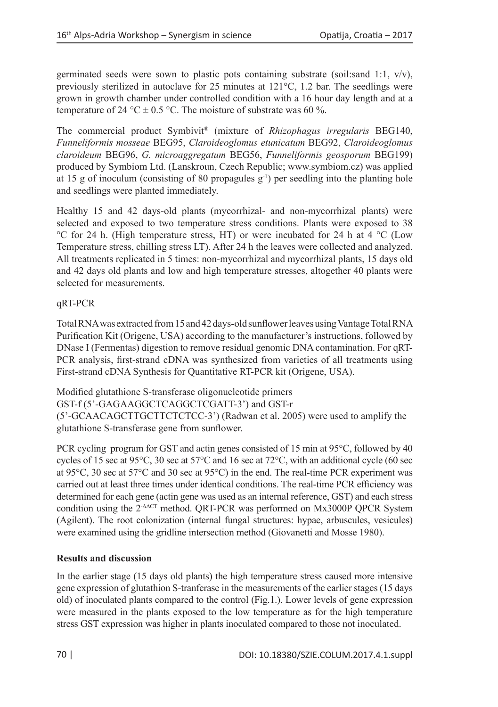germinated seeds were sown to plastic pots containing substrate (soil:sand 1:1,  $v/v$ ), previously sterilized in autoclave for 25 minutes at 121°C, 1.2 bar. The seedlings were grown in growth chamber under controlled condition with a 16 hour day length and at a temperature of 24 °C  $\pm$  0.5 °C. The moisture of substrate was 60 %.

The commercial product Symbivit® (mixture of *Rhizophagus irregularis* BEG140, *Funneliformis mosseae* BEG95, *Claroideoglomus etunicatum* BEG92, *Claroideoglomus claroideum* BEG96, *G. microaggregatum* BEG56, *Funneliformis geosporum* BEG199) produced by Symbiom Ltd. (Lanskroun, Czech Republic; www.symbiom.cz) was applied at 15 g of inoculum (consisting of 80 propagules  $g^{-1}$ ) per seedling into the planting hole and seedlings were planted immediately.

Healthy 15 and 42 days-old plants (mycorrhizal- and non-mycorrhizal plants) were selected and exposed to two temperature stress conditions. Plants were exposed to 38 °C for 24 h. (High temperature stress, HT) or were incubated for 24 h at 4 °C (Low Temperature stress, chilling stress LT). After 24 h the leaves were collected and analyzed. All treatments replicated in 5 times: non-mycorrhizal and mycorrhizal plants, 15 days old and 42 days old plants and low and high temperature stresses, altogether 40 plants were selected for measurements.

### qRT-PCR

Total RNA was extracted from 15 and 42 days-old sunflower leaves using Vantage Total RNA Purification Kit (Origene, USA) according to the manufacturer's instructions, followed by DNase I (Fermentas) digestion to remove residual genomic DNA contamination. For qRT-PCR analysis, first-strand cDNA was synthesized from varieties of all treatments using First-strand cDNA Synthesis for Quantitative RT-PCR kit (Origene, USA).

Modified glutathione S-transferase oligonucleotide primers GST-f (5'-GAGAAGGCTCAGGCTCGATT-3') and GST-r (5'-GCAACAGCTTGCTTCTCTCC-3') (Radwan et al. 2005) were used to amplify the glutathione S-transferase gene from sunflower.

PCR cycling program for GST and actin genes consisted of 15 min at 95°C, followed by 40 cycles of 15 sec at 95°C, 30 sec at 57°C and 16 sec at 72°C, with an additional cycle (60 sec at 95°C, 30 sec at 57°C and 30 sec at 95°C) in the end. The real-time PCR experiment was carried out at least three times under identical conditions. The real-time PCR efficiency was determined for each gene (actin gene was used as an internal reference, GST) and each stress condition using the 2-ΔΔCT method. QRT-PCR was performed on Mx3000P QPCR System (Agilent). The root colonization (internal fungal structures: hypae, arbuscules, vesicules) were examined using the gridline intersection method (Giovanetti and Mosse 1980).

## **Results and discussion**

In the earlier stage (15 days old plants) the high temperature stress caused more intensive gene expression of glutathion S-tranferase in the measurements of the earlier stages (15 days old) of inoculated plants compared to the control (Fig.1.). Lower levels of gene expression were measured in the plants exposed to the low temperature as for the high temperature stress GST expression was higher in plants inoculated compared to those not inoculated.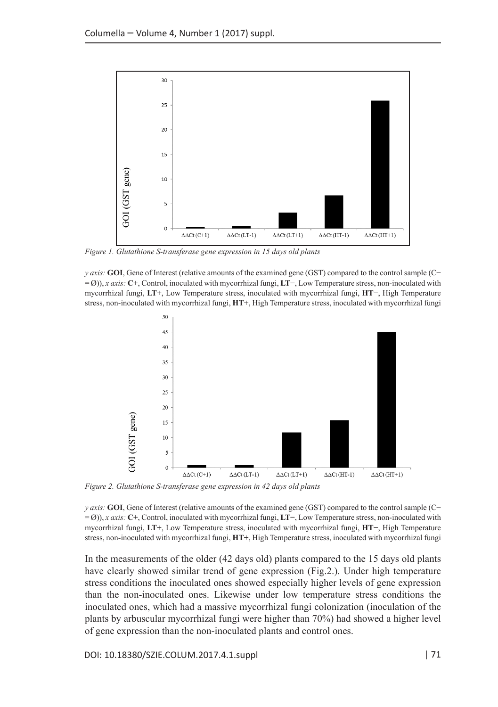

*Figure 1. Glutathione S-transferase gene expression in 15 days old plants* 

*y axis:* **GOI**, Gene of Interest (relative amounts of the examined gene (GST) compared to the control sample (C− = Ø)), *x axis:* **C+**, Control, inoculated with mycorrhizal fungi, **LT−**, Low Temperature stress, non-inoculated with mycorrhizal fungi, **LT+**, Low Temperature stress, inoculated with mycorrhizal fungi, **HT−**, High Temperature stress, non-inoculated with mycorrhizal fungi, **HT+**, High Temperature stress, inoculated with mycorrhizal fungi



*Figure 2. Glutathione S-transferase gene expression in 42 days old plants* 

*y axis:* **GOI**, Gene of Interest (relative amounts of the examined gene (GST) compared to the control sample (C− = Ø)), *x axis:* **C+**, Control, inoculated with mycorrhizal fungi, **LT−**, Low Temperature stress, non-inoculated with mycorrhizal fungi, **LT+**, Low Temperature stress, inoculated with mycorrhizal fungi, **HT−**, High Temperature stress, non-inoculated with mycorrhizal fungi, **HT+**, High Temperature stress, inoculated with mycorrhizal fungi

In the measurements of the older (42 days old) plants compared to the 15 days old plants have clearly showed similar trend of gene expression (Fig.2.). Under high temperature stress conditions the inoculated ones showed especially higher levels of gene expression than the non-inoculated ones. Likewise under low temperature stress conditions the inoculated ones, which had a massive mycorrhizal fungi colonization (inoculation of the plants by arbuscular mycorrhizal fungi were higher than 70%) had showed a higher level of gene expression than the non-inoculated plants and control ones.